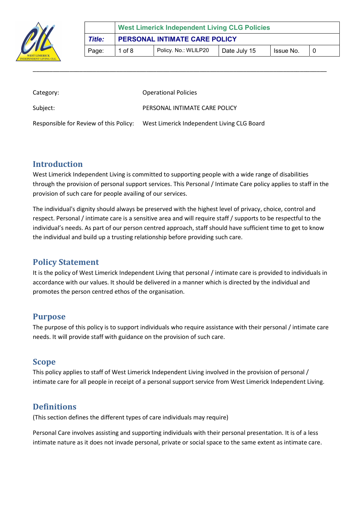

|                                                                        | <b>West Limerick Independent Living CLG Policies</b> |  |  |  |  |
|------------------------------------------------------------------------|------------------------------------------------------|--|--|--|--|
| <b>PERSONAL INTIMATE CARE POLICY</b><br>Title:                         |                                                      |  |  |  |  |
| Policy. No.: WLILP20<br>1 of $8$<br>Issue No.<br>Date July 15<br>Page: |                                                      |  |  |  |  |

| Category:                              | <b>Operational Policies</b>                |
|----------------------------------------|--------------------------------------------|
| Subject:                               | PERSONAL INTIMATE CARE POLICY              |
| Responsible for Review of this Policy: | West Limerick Independent Living CLG Board |

\_\_\_\_\_\_\_\_\_\_\_\_\_\_\_\_\_\_\_\_\_\_\_\_\_\_\_\_\_\_\_\_\_\_\_\_\_\_\_\_\_\_\_\_\_\_\_\_\_\_\_\_\_\_\_\_\_\_\_\_\_\_\_\_\_\_\_\_\_\_\_\_\_\_\_\_\_\_\_\_\_\_\_\_\_\_\_\_

#### Introduction

West Limerick Independent Living is committed to supporting people with a wide range of disabilities through the provision of personal support services. This Personal / Intimate Care policy applies to staff in the provision of such care for people availing of our services.

The individual's dignity should always be preserved with the highest level of privacy, choice, control and respect. Personal / intimate care is a sensitive area and will require staff / supports to be respectful to the individual's needs. As part of our person centred approach, staff should have sufficient time to get to know the individual and build up a trusting relationship before providing such care.

#### Policy Statement

It is the policy of West Limerick Independent Living that personal / intimate care is provided to individuals in accordance with our values. It should be delivered in a manner which is directed by the individual and promotes the person centred ethos of the organisation.

#### Purpose

The purpose of this policy is to support individuals who require assistance with their personal / intimate care needs. It will provide staff with guidance on the provision of such care.

## Scope

This policy applies to staff of West Limerick Independent Living involved in the provision of personal / intimate care for all people in receipt of a personal support service from West Limerick Independent Living.

# **Definitions**

(This section defines the different types of care individuals may require)

Personal Care involves assisting and supporting individuals with their personal presentation. It is of a less intimate nature as it does not invade personal, private or social space to the same extent as intimate care.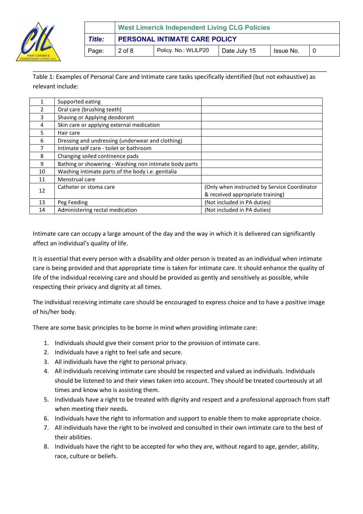

|        | <b>West Limerick Independent Living CLG Policies</b> |                      |              |           |  |
|--------|------------------------------------------------------|----------------------|--------------|-----------|--|
| Title: | PERSONAL INTIMATE CARE POLICY                        |                      |              |           |  |
| Page:  | $2$ of $8$                                           | Policy. No.: WLILP20 | Date July 15 | Issue No. |  |

Table 1: Examples of Personal Care and Intimate care tasks specifically identified (but not exhaustive) as relevant include:

\_\_\_\_\_\_\_\_\_\_\_\_\_\_\_\_\_\_\_\_\_\_\_\_\_\_\_\_\_\_\_\_\_\_\_\_\_\_\_\_\_\_\_\_\_\_\_\_\_\_\_\_\_\_\_\_\_\_\_\_\_\_\_\_\_\_\_\_\_\_\_\_\_\_\_\_\_\_\_\_\_\_\_\_\_\_\_\_

|    | Supported eating                                       |                                              |
|----|--------------------------------------------------------|----------------------------------------------|
| 2  | Oral care (brushing teeth)                             |                                              |
| 3  | Shaving or Applying deodorant                          |                                              |
| 4  | Skin care or applying external medication              |                                              |
| 5  | Hair care                                              |                                              |
| 6  | Dressing and undressing (underwear and clothing)       |                                              |
|    | Intimate self care - toilet or bathroom                |                                              |
| 8  | Changing soiled continence pads                        |                                              |
| 9  | Bathing or showering - Washing non intimate body parts |                                              |
| 10 | Washing intimate parts of the body i.e. genitalia      |                                              |
| 11 | Menstrual care                                         |                                              |
|    | Catheter or stoma care                                 | (Only when instructed by Service Coordinator |
| 12 |                                                        | & received appropriate training)             |
| 13 | Peg Feeding                                            | (Not included in PA duties)                  |
| 14 | Administering rectal medication                        | (Not included in PA duties)                  |

Intimate care can occupy a large amount of the day and the way in which it is delivered can significantly affect an individual's quality of life.

It is essential that every person with a disability and older person is treated as an individual when intimate care is being provided and that appropriate time is taken for intimate care. It should enhance the quality of life of the individual receiving care and should be provided as gently and sensitively as possible, while respecting their privacy and dignity at all times.

The individual receiving intimate care should be encouraged to express choice and to have a positive image of his/her body.

There are some basic principles to be borne in mind when providing intimate care:

- 1. Individuals should give their consent prior to the provision of intimate care.
- 2. Individuals have a right to feel safe and secure.
- 3. All individuals have the right to personal privacy.
- 4. All individuals receiving intimate care should be respected and valued as individuals. Individuals should be listened to and their views taken into account. They should be treated courteously at all times and know who is assisting them.
- 5. Individuals have a right to be treated with dignity and respect and a professional approach from staff when meeting their needs.
- 6. Individuals have the right to information and support to enable them to make appropriate choice.
- 7. All individuals have the right to be involved and consulted in their own intimate care to the best of their abilities.
- 8. Individuals have the right to be accepted for who they are, without regard to age, gender, ability, race, culture or beliefs.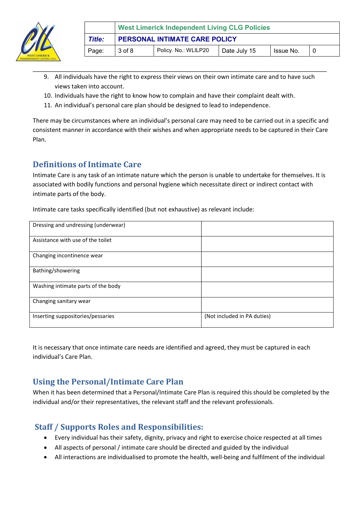

9. All individuals have the right to express their views on their own intimate care and to have such views taken into account.

\_\_\_\_\_\_\_\_\_\_\_\_\_\_\_\_\_\_\_\_\_\_\_\_\_\_\_\_\_\_\_\_\_\_\_\_\_\_\_\_\_\_\_\_\_\_\_\_\_\_\_\_\_\_\_\_\_\_\_\_\_\_\_\_\_\_\_\_\_\_\_\_\_\_\_\_\_\_\_\_\_\_\_\_\_\_\_\_

- 10. Individuals have the right to know how to complain and have their complaint dealt with.
- 11. An individual's personal care plan should be designed to lead to independence.

There may be circumstances where an individual's personal care may need to be carried out in a specific and consistent manner in accordance with their wishes and when appropriate needs to be captured in their Care Plan.

## Definitions of Intimate Care

Intimate Care is any task of an intimate nature which the person is unable to undertake for themselves. It is associated with bodily functions and personal hygiene which necessitate direct or indirect contact with intimate parts of the body.

Intimate care tasks specifically identified (but not exhaustive) as relevant include:

| Dressing and undressing (underwear) |                             |
|-------------------------------------|-----------------------------|
| Assistance with use of the toilet   |                             |
| Changing incontinence wear          |                             |
| Bathing/showering                   |                             |
| Washing intimate parts of the body  |                             |
| Changing sanitary wear              |                             |
| Inserting suppositories/pessaries   | (Not included in PA duties) |

It is necessary that once intimate care needs are identified and agreed, they must be captured in each individual's Care Plan.

## Using the Personal/Intimate Care Plan

When it has been determined that a Personal/Intimate Care Plan is required this should be completed by the individual and/or their representatives, the relevant staff and the relevant professionals.

#### Staff / Supports Roles and Responsibilities:

- Every individual has their safety, dignity, privacy and right to exercise choice respected at all times
- All aspects of personal / intimate care should be directed and guided by the individual
- All interactions are individualised to promote the health, well-being and fulfilment of the individual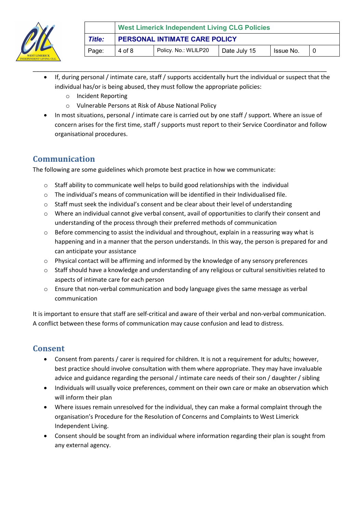

 If, during personal / intimate care, staff / supports accidentally hurt the individual or suspect that the individual has/or is being abused, they must follow the appropriate policies:

\_\_\_\_\_\_\_\_\_\_\_\_\_\_\_\_\_\_\_\_\_\_\_\_\_\_\_\_\_\_\_\_\_\_\_\_\_\_\_\_\_\_\_\_\_\_\_\_\_\_\_\_\_\_\_\_\_\_\_\_\_\_\_\_\_\_\_\_\_\_\_\_\_\_\_\_\_\_\_\_\_\_\_\_\_\_\_\_

- o Incident Reporting
- o Vulnerable Persons at Risk of Abuse National Policy
- In most situations, personal / intimate care is carried out by one staff / support. Where an issue of concern arises for the first time, staff / supports must report to their Service Coordinator and follow organisational procedures.

## Communication

The following are some guidelines which promote best practice in how we communicate:

- $\circ$  Staff ability to communicate well helps to build good relationships with the individual
- $\circ$  The individual's means of communication will be identified in their Individualised file.
- $\circ$  Staff must seek the individual's consent and be clear about their level of understanding
- $\circ$  Where an individual cannot give verbal consent, avail of opportunities to clarify their consent and understanding of the process through their preferred methods of communication
- $\circ$  Before commencing to assist the individual and throughout, explain in a reassuring way what is happening and in a manner that the person understands. In this way, the person is prepared for and can anticipate your assistance
- o Physical contact will be affirming and informed by the knowledge of any sensory preferences
- o Staff should have a knowledge and understanding of any religious or cultural sensitivities related to aspects of intimate care for each person
- o Ensure that non-verbal communication and body language gives the same message as verbal communication

It is important to ensure that staff are self-critical and aware of their verbal and non-verbal communication. A conflict between these forms of communication may cause confusion and lead to distress.

## Consent

- Consent from parents / carer is required for children. It is not a requirement for adults; however, best practice should involve consultation with them where appropriate. They may have invaluable advice and guidance regarding the personal / intimate care needs of their son / daughter / sibling
- Individuals will usually voice preferences, comment on their own care or make an observation which will inform their plan
- Where issues remain unresolved for the individual, they can make a formal complaint through the organisation's Procedure for the Resolution of Concerns and Complaints to West Limerick Independent Living.
- Consent should be sought from an individual where information regarding their plan is sought from any external agency.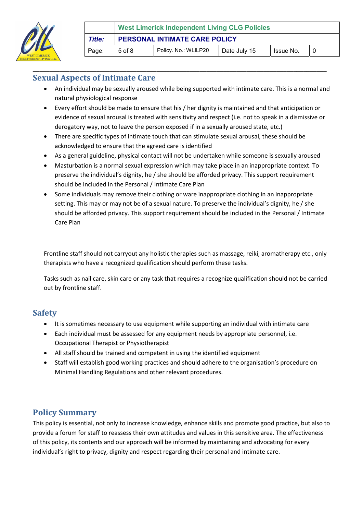

#### Sexual Aspects of Intimate Care

 An individual may be sexually aroused while being supported with intimate care. This is a normal and natural physiological response

\_\_\_\_\_\_\_\_\_\_\_\_\_\_\_\_\_\_\_\_\_\_\_\_\_\_\_\_\_\_\_\_\_\_\_\_\_\_\_\_\_\_\_\_\_\_\_\_\_\_\_\_\_\_\_\_\_\_\_\_\_\_\_\_\_\_\_\_\_\_\_\_\_\_\_\_\_\_\_\_\_\_\_\_\_\_\_\_

- Every effort should be made to ensure that his / her dignity is maintained and that anticipation or evidence of sexual arousal is treated with sensitivity and respect (i.e. not to speak in a dismissive or derogatory way, not to leave the person exposed if in a sexually aroused state, etc.)
- There are specific types of intimate touch that can stimulate sexual arousal, these should be acknowledged to ensure that the agreed care is identified
- As a general guideline, physical contact will not be undertaken while someone is sexually aroused
- Masturbation is a normal sexual expression which may take place in an inappropriate context. To preserve the individual's dignity, he / she should be afforded privacy. This support requirement should be included in the Personal / Intimate Care Plan
- Some individuals may remove their clothing or ware inappropriate clothing in an inappropriate setting. This may or may not be of a sexual nature. To preserve the individual's dignity, he / she should be afforded privacy. This support requirement should be included in the Personal / Intimate Care Plan

Frontline staff should not carryout any holistic therapies such as massage, reiki, aromatherapy etc., only therapists who have a recognized qualification should perform these tasks.

Tasks such as nail care, skin care or any task that requires a recognize qualification should not be carried out by frontline staff.

#### Safety

- It is sometimes necessary to use equipment while supporting an individual with intimate care
- Each individual must be assessed for any equipment needs by appropriate personnel, i.e. Occupational Therapist or Physiotherapist
- All staff should be trained and competent in using the identified equipment
- Staff will establish good working practices and should adhere to the organisation's procedure on Minimal Handling Regulations and other relevant procedures.

#### Policy Summary

This policy is essential, not only to increase knowledge, enhance skills and promote good practice, but also to provide a forum for staff to reassess their own attitudes and values in this sensitive area. The effectiveness of this policy, its contents and our approach will be informed by maintaining and advocating for every individual's right to privacy, dignity and respect regarding their personal and intimate care.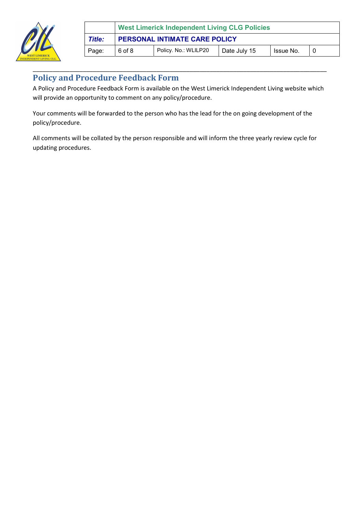

|        | <b>West Limerick Independent Living CLG Policies</b> |                      |              |           |  |
|--------|------------------------------------------------------|----------------------|--------------|-----------|--|
| Title: | PERSONAL INTIMATE CARE POLICY                        |                      |              |           |  |
| Page:  | 6 of 8                                               | Policy. No.: WLILP20 | Date July 15 | Issue No. |  |

## Policy and Procedure Feedback Form

A Policy and Procedure Feedback Form is available on the West Limerick Independent Living website which will provide an opportunity to comment on any policy/procedure.

\_\_\_\_\_\_\_\_\_\_\_\_\_\_\_\_\_\_\_\_\_\_\_\_\_\_\_\_\_\_\_\_\_\_\_\_\_\_\_\_\_\_\_\_\_\_\_\_\_\_\_\_\_\_\_\_\_\_\_\_\_\_\_\_\_\_\_\_\_\_\_\_\_\_\_\_\_\_\_\_\_\_\_\_\_\_\_\_

Your comments will be forwarded to the person who has the lead for the on going development of the policy/procedure.

All comments will be collated by the person responsible and will inform the three yearly review cycle for updating procedures.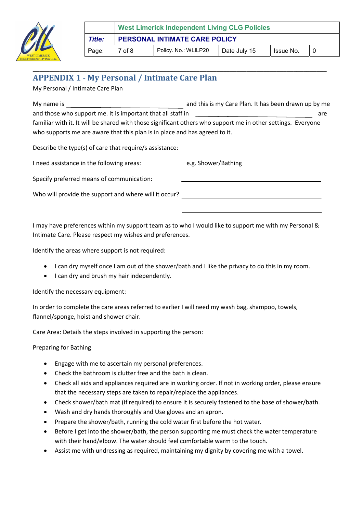

#### \_\_\_\_\_\_\_\_\_\_\_\_\_\_\_\_\_\_\_\_\_\_\_\_\_\_\_\_\_\_\_\_\_\_\_\_\_\_\_\_\_\_\_\_\_\_\_\_\_\_\_\_\_\_\_\_\_\_\_\_\_\_\_\_\_\_\_\_\_\_\_\_\_\_\_\_\_\_\_\_\_\_\_\_\_\_\_\_ APPENDIX 1 - My Personal / Intimate Care Plan

My Personal / Intimate Care Plan

My name is **and this is my Care Plan. It has been drawn up by me** and this is my Care Plan. It has been drawn up by me and those who support me. It is important that all staff in and those who support me. It is important that all staff in familiar with it. It will be shared with those significant others who support me in other settings. Everyone who supports me are aware that this plan is in place and has agreed to it.

Describe the type(s) of care that require/s assistance:

I need assistance in the following areas: e.g. Shower/Bathing

Specify preferred means of communication:

Who will provide the support and where will it occur?

I may have preferences within my support team as to who I would like to support me with my Personal & Intimate Care. Please respect my wishes and preferences.

Identify the areas where support is not required:

- I can dry myself once I am out of the shower/bath and I like the privacy to do this in my room.
- I can dry and brush my hair independently.

Identify the necessary equipment:

In order to complete the care areas referred to earlier I will need my wash bag, shampoo, towels, flannel/sponge, hoist and shower chair.

Care Area: Details the steps involved in supporting the person:

Preparing for Bathing

- Engage with me to ascertain my personal preferences.
- Check the bathroom is clutter free and the bath is clean.
- Check all aids and appliances required are in working order. If not in working order, please ensure that the necessary steps are taken to repair/replace the appliances.
- Check shower/bath mat (if required) to ensure it is securely fastened to the base of shower/bath.
- Wash and dry hands thoroughly and Use gloves and an apron.
- Prepare the shower/bath, running the cold water first before the hot water.
- Before I get into the shower/bath, the person supporting me must check the water temperature with their hand/elbow. The water should feel comfortable warm to the touch.
- Assist me with undressing as required, maintaining my dignity by covering me with a towel.